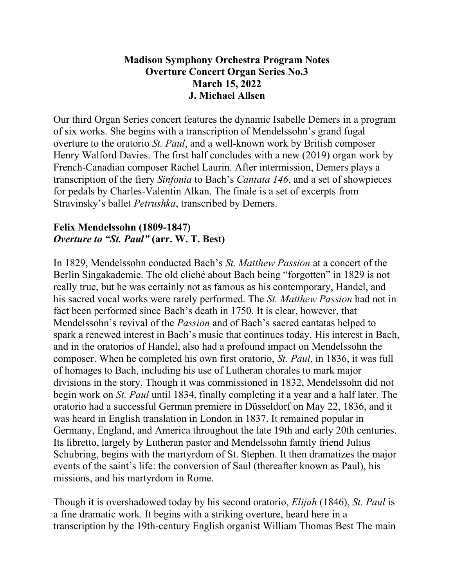# **Madison Symphony Orchestra Program Notes Overture Concert Organ Series No.3 March 15, 2022 J. Michael Allsen**

Our third Organ Series concert features the dynamic Isabelle Demers in a program of six works. She begins with a transcription of Mendelssohn's grand fugal overture to the oratorio *St. Paul*, and a well-known work by British composer Henry Walford Davies. The first half concludes with a new (2019) organ work by French-Canadian composer Rachel Laurin. After intermission, Demers plays a transcription of the fiery *Sinfonia* to Bach's *Cantata 146*, and a set of showpieces for pedals by Charles-Valentin Alkan. The finale is a set of excerpts from Stravinsky's ballet *Petrushka*, transcribed by Demers.

#### **Felix Mendelssohn (1809-1847)** *Overture to "St. Paul"* **(arr. W. T. Best)**

In 1829, Mendelssohn conducted Bach's *St. Matthew Passion* at a concert of the Berlin Singakademie. The old cliché about Bach being "forgotten" in 1829 is not really true, but he was certainly not as famous as his contemporary, Handel, and his sacred vocal works were rarely performed. The *St. Matthew Passion* had not in fact been performed since Bach's death in 1750. It is clear, however, that Mendelssohn's revival of the *Passion* and of Bach's sacred cantatas helped to spark a renewed interest in Bach's music that continues today. His interest in Bach, and in the oratorios of Handel, also had a profound impact on Mendelssohn the composer. When he completed his own first oratorio, *St. Paul*, in 1836, it was full of homages to Bach, including his use of Lutheran chorales to mark major divisions in the story. Though it was commissioned in 1832, Mendelssohn did not begin work on *St. Paul* until 1834, finally completing it a year and a half later. The oratorio had a successful German premiere in Düsseldorf on May 22, 1836, and it was heard in English translation in London in 1837. It remained popular in Germany, England, and America throughout the late 19th and early 20th centuries. Its libretto, largely by Lutheran pastor and Mendelssohn family friend Julius Schubring, begins with the martyrdom of St. Stephen. It then dramatizes the major events of the saint's life: the conversion of Saul (thereafter known as Paul), his missions, and his martyrdom in Rome.

Though it is overshadowed today by his second oratorio, *Elijah* (1846), *St. Paul* is a fine dramatic work. It begins with a striking overture, heard here in a transcription by the 19th-century English organist William Thomas Best The main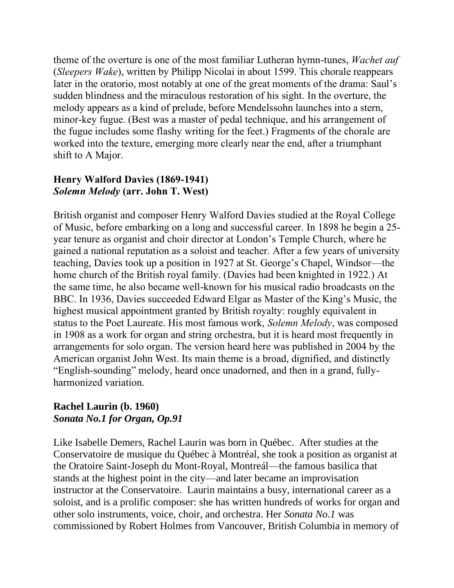theme of the overture is one of the most familiar Lutheran hymn-tunes, *Wachet auf* (*Sleepers Wake*), written by Philipp Nicolai in about 1599. This chorale reappears later in the oratorio, most notably at one of the great moments of the drama: Saul's sudden blindness and the miraculous restoration of his sight. In the overture, the melody appears as a kind of prelude, before Mendelssohn launches into a stern, minor-key fugue. (Best was a master of pedal technique, and his arrangement of the fugue includes some flashy writing for the feet.) Fragments of the chorale are worked into the texture, emerging more clearly near the end, after a triumphant shift to A Major.

## **Henry Walford Davies (1869-1941)** *Solemn Melody* **(arr. John T. West)**

British organist and composer Henry Walford Davies studied at the Royal College of Music, before embarking on a long and successful career. In 1898 he begin a 25 year tenure as organist and choir director at London's Temple Church, where he gained a national reputation as a soloist and teacher. After a few years of university teaching, Davies took up a position in 1927 at St. George's Chapel, Windsor—the home church of the British royal family. (Davies had been knighted in 1922.) At the same time, he also became well-known for his musical radio broadcasts on the BBC. In 1936, Davies succeeded Edward Elgar as Master of the King's Music, the highest musical appointment granted by British royalty: roughly equivalent in status to the Poet Laureate. His most famous work, *Solemn Melody*, was composed in 1908 as a work for organ and string orchestra, but it is heard most frequently in arrangements for solo organ. The version heard here was published in 2004 by the American organist John West. Its main theme is a broad, dignified, and distinctly "English-sounding" melody, heard once unadorned, and then in a grand, fullyharmonized variation.

## **Rachel Laurin (b. 1960)** *Sonata No.1 for Organ, Op.91*

Like Isabelle Demers, Rachel Laurin was born in Québec. After studies at the Conservatoire de musique du Québec à Montréal, she took a position as organist at the Oratoire Saint-Joseph du Mont-Royal, Montreál—the famous basilica that stands at the highest point in the city—and later became an improvisation instructor at the Conservatoire. Laurin maintains a busy, international career as a soloist, and is a prolific composer: she has written hundreds of works for organ and other solo instruments, voice, choir, and orchestra. Her *Sonata No.1* was commissioned by Robert Holmes from Vancouver, British Columbia in memory of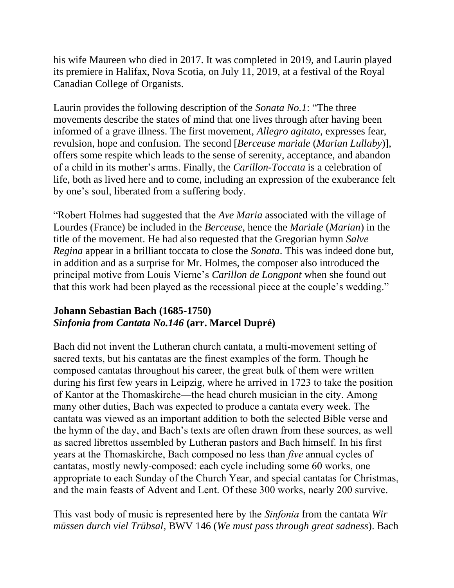his wife Maureen who died in 2017. It was completed in 2019, and Laurin played its premiere in Halifax, Nova Scotia, on July 11, 2019, at a festival of the Royal Canadian College of Organists.

Laurin provides the following description of the *Sonata No.1*: "The three movements describe the states of mind that one lives through after having been informed of a grave illness. The first movement, *Allegro agitato*, expresses fear, revulsion, hope and confusion. The second [*Berceuse mariale* (*Marian Lullaby*)], offers some respite which leads to the sense of serenity, acceptance, and abandon of a child in its mother's arms. Finally, the *Carillon-Toccata* is a celebration of life, both as lived here and to come, including an expression of the exuberance felt by one's soul, liberated from a suffering body.

"Robert Holmes had suggested that the *Ave Maria* associated with the village of Lourdes (France) be included in the *Berceuse*, hence the *Mariale* (*Marian*) in the title of the movement. He had also requested that the Gregorian hymn *Salve Regina* appear in a brilliant toccata to close the *Sonata*. This was indeed done but, in addition and as a surprise for Mr. Holmes, the composer also introduced the principal motive from Louis Vierne's *Carillon de Longpont* when she found out that this work had been played as the recessional piece at the couple's wedding."

# **Johann Sebastian Bach (1685-1750)** *Sinfonia from Cantata No.146* **(arr. Marcel Dupré)**

Bach did not invent the Lutheran church cantata, a multi-movement setting of sacred texts, but his cantatas are the finest examples of the form. Though he composed cantatas throughout his career, the great bulk of them were written during his first few years in Leipzig, where he arrived in 1723 to take the position of Kantor at the Thomaskirche—the head church musician in the city. Among many other duties, Bach was expected to produce a cantata every week. The cantata was viewed as an important addition to both the selected Bible verse and the hymn of the day, and Bach's texts are often drawn from these sources, as well as sacred librettos assembled by Lutheran pastors and Bach himself. In his first years at the Thomaskirche, Bach composed no less than *five* annual cycles of cantatas, mostly newly-composed: each cycle including some 60 works, one appropriate to each Sunday of the Church Year, and special cantatas for Christmas, and the main feasts of Advent and Lent. Of these 300 works, nearly 200 survive.

This vast body of music is represented here by the *Sinfonia* from the cantata *Wir müssen durch viel Trübsal*, BWV 146 (*We must pass through great sadness*). Bach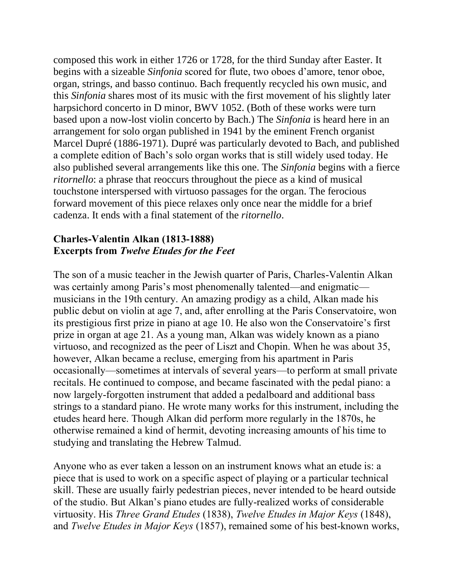composed this work in either 1726 or 1728, for the third Sunday after Easter. It begins with a sizeable *Sinfonia* scored for flute, two oboes d'amore, tenor oboe, organ, strings, and basso continuo. Bach frequently recycled his own music, and this *Sinfonia* shares most of its music with the first movement of his slightly later harpsichord concerto in D minor, BWV 1052. (Both of these works were turn based upon a now-lost violin concerto by Bach.) The *Sinfonia* is heard here in an arrangement for solo organ published in 1941 by the eminent French organist Marcel Dupré (1886-1971). Dupré was particularly devoted to Bach, and published a complete edition of Bach's solo organ works that is still widely used today. He also published several arrangements like this one. The *Sinfonia* begins with a fierce *ritornello*: a phrase that reoccurs throughout the piece as a kind of musical touchstone interspersed with virtuoso passages for the organ. The ferocious forward movement of this piece relaxes only once near the middle for a brief cadenza. It ends with a final statement of the *ritornello*.

#### **Charles-Valentin Alkan (1813-1888) Excerpts from** *Twelve Etudes for the Feet*

The son of a music teacher in the Jewish quarter of Paris, Charles-Valentin Alkan was certainly among Paris's most phenomenally talented—and enigmatic musicians in the 19th century. An amazing prodigy as a child, Alkan made his public debut on violin at age 7, and, after enrolling at the Paris Conservatoire, won its prestigious first prize in piano at age 10. He also won the Conservatoire's first prize in organ at age 21. As a young man, Alkan was widely known as a piano virtuoso, and recognized as the peer of Liszt and Chopin. When he was about 35, however, Alkan became a recluse, emerging from his apartment in Paris occasionally—sometimes at intervals of several years—to perform at small private recitals. He continued to compose, and became fascinated with the pedal piano: a now largely-forgotten instrument that added a pedalboard and additional bass strings to a standard piano. He wrote many works for this instrument, including the etudes heard here. Though Alkan did perform more regularly in the 1870s, he otherwise remained a kind of hermit, devoting increasing amounts of his time to studying and translating the Hebrew Talmud.

Anyone who as ever taken a lesson on an instrument knows what an etude is: a piece that is used to work on a specific aspect of playing or a particular technical skill. These are usually fairly pedestrian pieces, never intended to be heard outside of the studio. But Alkan's piano etudes are fully-realized works of considerable virtuosity. His *Three Grand Etudes* (1838), *Twelve Etudes in Major Keys* (1848), and *Twelve Etudes in Major Keys* (1857), remained some of his best-known works,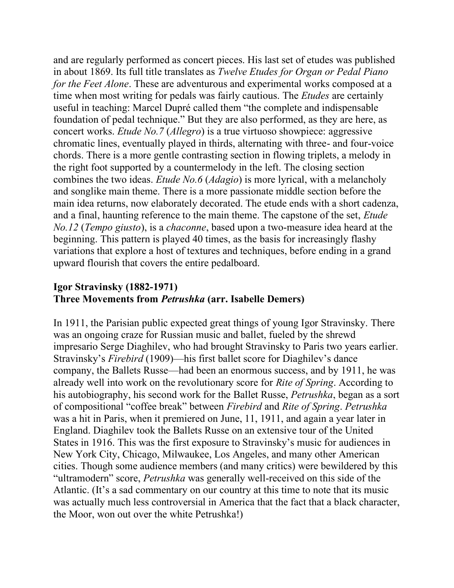and are regularly performed as concert pieces. His last set of etudes was published in about 1869. Its full title translates as *Twelve Etudes for Organ or Pedal Piano for the Feet Alone*. These are adventurous and experimental works composed at a time when most writing for pedals was fairly cautious. The *Etudes* are certainly useful in teaching: Marcel Dupré called them "the complete and indispensable foundation of pedal technique." But they are also performed, as they are here, as concert works. *Etude No.7* (*Allegro*) is a true virtuoso showpiece: aggressive chromatic lines, eventually played in thirds, alternating with three- and four-voice chords. There is a more gentle contrasting section in flowing triplets, a melody in the right foot supported by a countermelody in the left. The closing section combines the two ideas. *Etude No.6* (*Adagio*) is more lyrical, with a melancholy and songlike main theme. There is a more passionate middle section before the main idea returns, now elaborately decorated. The etude ends with a short cadenza, and a final, haunting reference to the main theme. The capstone of the set, *Etude No.12* (*Tempo giusto*), is a *chaconne*, based upon a two-measure idea heard at the beginning. This pattern is played 40 times, as the basis for increasingly flashy variations that explore a host of textures and techniques, before ending in a grand upward flourish that covers the entire pedalboard.

# **Igor Stravinsky (1882-1971) Three Movements from** *Petrushka* **(arr. Isabelle Demers)**

In 1911, the Parisian public expected great things of young Igor Stravinsky. There was an ongoing craze for Russian music and ballet, fueled by the shrewd impresario Serge Diaghilev, who had brought Stravinsky to Paris two years earlier. Stravinsky's *Firebird* (1909)—his first ballet score for Diaghilev's dance company, the Ballets Russe—had been an enormous success, and by 1911, he was already well into work on the revolutionary score for *Rite of Spring*. According to his autobiography, his second work for the Ballet Russe, *Petrushka*, began as a sort of compositional "coffee break" between *Firebird* and *Rite of Spring*. *Petrushka*  was a hit in Paris, when it premiered on June, 11, 1911, and again a year later in England. Diaghilev took the Ballets Russe on an extensive tour of the United States in 1916. This was the first exposure to Stravinsky's music for audiences in New York City, Chicago, Milwaukee, Los Angeles, and many other American cities. Though some audience members (and many critics) were bewildered by this "ultramodern" score, *Petrushka* was generally well-received on this side of the Atlantic. (It's a sad commentary on our country at this time to note that its music was actually much less controversial in America that the fact that a black character, the Moor, won out over the white Petrushka!)